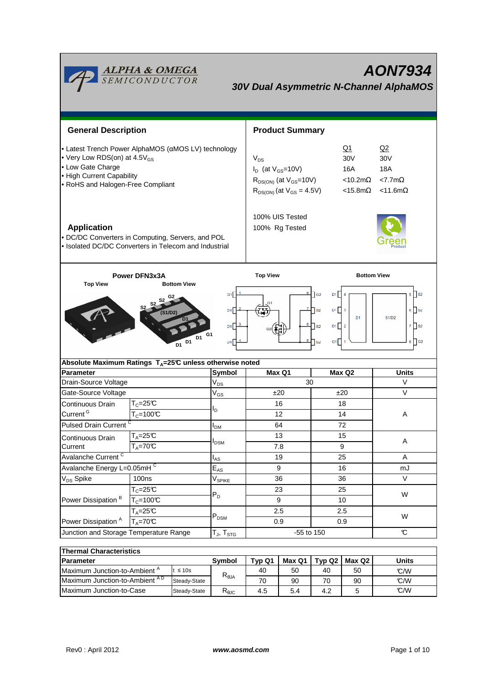

**AON7934 30V Dual Asymmetric N-Channel AlphaMOS**

| <b>General Description</b>                                                                                                                                                                                                                                                                                                                                |                                                                                                            |                           | <b>Product Summary</b>                                                                                        |                                                                                                              |                    |  |  |
|-----------------------------------------------------------------------------------------------------------------------------------------------------------------------------------------------------------------------------------------------------------------------------------------------------------------------------------------------------------|------------------------------------------------------------------------------------------------------------|---------------------------|---------------------------------------------------------------------------------------------------------------|--------------------------------------------------------------------------------------------------------------|--------------------|--|--|
| • Latest Trench Power AlphaMOS (aMOS LV) technology<br>• Very Low RDS(on) at 4.5V <sub>GS</sub><br>• Low Gate Charge<br>• High Current Capability<br>• RoHS and Halogen-Free Compliant                                                                                                                                                                    |                                                                                                            |                           | $V_{DS}$<br>$I_D$ (at $V_{GS}$ =10V)<br>$R_{DS(ON)}$ (at $V_{GS}$ =10V)<br>$R_{DS(ON)}$ (at $V_{GS} = 4.5V$ ) | Q2<br>30 <sub>V</sub><br>18A<br><10.2m $\Omega$<br>$<7.7m\Omega$<br>$<$ 15.8m $\Omega$<br>$<$ 11.6m $\Omega$ |                    |  |  |
| <b>Application</b>                                                                                                                                                                                                                                                                                                                                        | · DC/DC Converters in Computing, Servers, and POL<br>· Isolated DC/DC Converters in Telecom and Industrial |                           | 100% UIS Tested<br>100% Rg Tested                                                                             |                                                                                                              |                    |  |  |
| Power DFN3x3A                                                                                                                                                                                                                                                                                                                                             |                                                                                                            |                           | <b>Top View</b>                                                                                               |                                                                                                              | <b>Bottom View</b> |  |  |
| $D1$ 4<br>$5$ S2<br>$\overline{G2}$<br>G <sub>1</sub><br>S <sub>2</sub><br>S <sub>2</sub><br>S <sub>2</sub><br>$D1$ $3$<br>$6$ S <sub>2</sub><br>$\mathsf{a}_2$<br>D <sub>1</sub><br>(S1/D2)<br>D <sub>1</sub><br>S1/D2<br>6<br>$D1$ 2<br>$7$ S2<br>D1.<br>$\sqrt{2}$<br>D1 G1<br>5<br>G1∏ 1<br>$8 \bigcap 62$<br>D1 D1<br>D1 <sup>T</sup><br>$\sqcap$ s2 |                                                                                                            |                           |                                                                                                               |                                                                                                              |                    |  |  |
|                                                                                                                                                                                                                                                                                                                                                           | Absolute Maximum Ratings $T_A = 25^\circ C$ unless otherwise noted                                         |                           |                                                                                                               |                                                                                                              |                    |  |  |
| Parameter<br>Drain-Source Voltage                                                                                                                                                                                                                                                                                                                         |                                                                                                            | <b>Symbol</b><br>$V_{DS}$ | Max Q1<br>Max Q2<br>30                                                                                        |                                                                                                              | <b>Units</b><br>V  |  |  |
| Gate-Source Voltage                                                                                                                                                                                                                                                                                                                                       |                                                                                                            | $V_{GS}$                  | ±20                                                                                                           | ±20                                                                                                          | $\vee$             |  |  |
| Continuous Drain                                                                                                                                                                                                                                                                                                                                          | $T_c = 25C$                                                                                                |                           | 16                                                                                                            | 18                                                                                                           |                    |  |  |
| Current <sup>G</sup>                                                                                                                                                                                                                                                                                                                                      | I <sub>D</sub><br>$T_c = 100C$                                                                             |                           | 12                                                                                                            | 14                                                                                                           | Α                  |  |  |
| <b>Pulsed Drain Current</b>                                                                                                                                                                                                                                                                                                                               |                                                                                                            | I <sub>DM</sub>           | 64                                                                                                            | 72                                                                                                           |                    |  |  |
| Continuous Drain                                                                                                                                                                                                                                                                                                                                          | $T_A = 25C$                                                                                                |                           | 13                                                                                                            | 15                                                                                                           |                    |  |  |
| Current                                                                                                                                                                                                                                                                                                                                                   | $T_A = 70C$                                                                                                | <b>I</b> <sub>DSM</sub>   | 7.8                                                                                                           | 9                                                                                                            | Α                  |  |  |
| Avalanche Current <sup>C</sup>                                                                                                                                                                                                                                                                                                                            |                                                                                                            | $I_{AS}$                  | 19                                                                                                            | 25                                                                                                           | A                  |  |  |
| Avalanche Energy L=0.05mHC                                                                                                                                                                                                                                                                                                                                |                                                                                                            | $E_{AS}$                  | 9                                                                                                             | 16                                                                                                           | mJ                 |  |  |
| $\rm V_{DS}$ Spike                                                                                                                                                                                                                                                                                                                                        | <b>100ns</b>                                                                                               | $V_{\text{SPIKE}}$<br>36  |                                                                                                               | 36                                                                                                           | V                  |  |  |
|                                                                                                                                                                                                                                                                                                                                                           | $T_c = 25C$                                                                                                | $P_D$                     | 23                                                                                                            | 25                                                                                                           | W                  |  |  |
| Power Dissipation <sup>B</sup>                                                                                                                                                                                                                                                                                                                            | $T_c = 100C$                                                                                               |                           | 9                                                                                                             | 10                                                                                                           |                    |  |  |
|                                                                                                                                                                                                                                                                                                                                                           | $T_A = 25C$                                                                                                | $P_{DSM}$                 | 2.5                                                                                                           | 2.5                                                                                                          | W                  |  |  |
| $\overline{T_A=70}$ C<br>Power Dissipation <sup>A</sup>                                                                                                                                                                                                                                                                                                   |                                                                                                            |                           | 0.9                                                                                                           | 0.9                                                                                                          |                    |  |  |
| Junction and Storage Temperature Range                                                                                                                                                                                                                                                                                                                    |                                                                                                            | $T_{J}$ , $T_{STG}$       | -55 to 150                                                                                                    |                                                                                                              | $\mathbf C$        |  |  |

| <b>Thermal Characteristics</b>           |               |                        |          |                    |        |              |     |
|------------------------------------------|---------------|------------------------|----------|--------------------|--------|--------------|-----|
| <b>IParameter</b>                        | <b>Symbol</b> | Typ Q1                 | Max Q1 I | Typ Q <sub>2</sub> | Max Q2 | <b>Units</b> |     |
| Maximum Junction-to-Ambient <sup>A</sup> | $\leq 10s$    | $R_{\theta$ JA         | 40       | 50                 | 40     | 50           | C/W |
| Maximum Junction-to-Ambient AD           | Steady-State  |                        | 70       | 90                 | 70     | 90           | C/W |
| Maximum Junction-to-Case                 | Steady-State  | $R_{\theta \text{JC}}$ | 4.5      | 5.4                | 4.2    |              | C/W |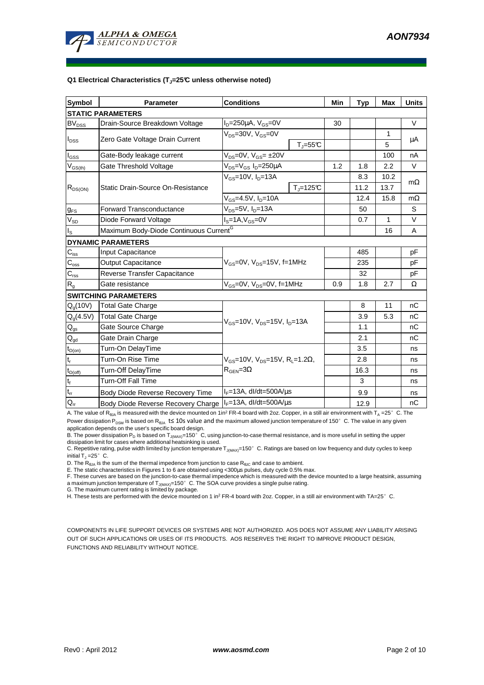

#### **Q1 Electrical Characteristics (TJ=25°C unless otherwise noted)**

| <b>Symbol</b>                           | <b>Parameter</b>                                   | <b>Conditions</b>                                                                          | Min                      | <b>Typ</b> | <b>Max</b>   | <b>Units</b> |           |  |
|-----------------------------------------|----------------------------------------------------|--------------------------------------------------------------------------------------------|--------------------------|------------|--------------|--------------|-----------|--|
| <b>STATIC PARAMETERS</b>                |                                                    |                                                                                            |                          |            |              |              |           |  |
| <b>BV<sub>DSS</sub></b>                 | Drain-Source Breakdown Voltage                     | $I_D = 250 \mu A$ , $V_{GS} = 0V$                                                          |                          | 30         |              |              | $\vee$    |  |
| $I_{\text{DSS}}$                        | Zero Gate Voltage Drain Current                    | $V_{DS}$ =30V, $V_{GS}$ =0V                                                                |                          |            |              | 1            | μA        |  |
|                                         |                                                    |                                                                                            | $T_{\parallel} = 55$ °C  |            |              | 5            |           |  |
| $I_{GSS}$                               | Gate-Body leakage current                          | $V_{DS} = 0V$ , $V_{GS} = \pm 20V$                                                         |                          |            |              | 100          | nA        |  |
| $\mathsf{V}_{\mathsf{GS}(\mathsf{th})}$ | Gate Threshold Voltage                             | $V_{DS} = V_{GS} I_D = 250 \mu A$                                                          |                          | 1.2        | 1.8          | 2.2          | V         |  |
|                                         | Static Drain-Source On-Resistance                  | $V_{GS}$ =10V, $I_{D}$ =13A                                                                |                          |            | 8.3          | 10.2         |           |  |
| $R_{DS(ON)}$                            |                                                    |                                                                                            | $T_{\parallel} = 125$ °C |            | 11.2         | 13.7         | $m\Omega$ |  |
|                                         |                                                    | $V_{GS} = 4.5V, I_D = 10A$                                                                 |                          |            | 12.4         | 15.8         | $m\Omega$ |  |
| <b>g</b> <sub>FS</sub>                  | <b>Forward Transconductance</b>                    | V <sub>DS</sub> =5V, I <sub>D</sub> =13A                                                   |                          |            | 50           |              | S         |  |
| $V_{SD}$                                | Diode Forward Voltage                              | $IS=1A, VGS=0V$                                                                            |                          | 0.7        | $\mathbf{1}$ | $\vee$       |           |  |
| $I_{\rm S}$                             | Maximum Body-Diode Continuous Current <sup>G</sup> |                                                                                            |                          |            | 16           | A            |           |  |
|                                         | <b>DYNAMIC PARAMETERS</b>                          |                                                                                            |                          |            |              |              |           |  |
| $C_{\text{iss}}$                        | Input Capacitance                                  |                                                                                            |                          |            | 485          |              | pF        |  |
| $C_{\rm oss}$                           | <b>Output Capacitance</b>                          | $V_{GS}$ =0V, $V_{DS}$ =15V, f=1MHz                                                        |                          |            | 235          |              | pF        |  |
| $C_{\text{rss}}$                        | Reverse Transfer Capacitance                       |                                                                                            |                          | 32         |              | pF           |           |  |
| R <sub>g</sub>                          | Gate resistance                                    | $V_{GS}$ =0V, $V_{DS}$ =0V, f=1MHz                                                         | 0.9                      | 1.8        | 2.7          | Ω            |           |  |
|                                         | <b>SWITCHING PARAMETERS</b>                        |                                                                                            |                          |            |              |              |           |  |
| $Q_q(10V)$                              | <b>Total Gate Charge</b>                           | $V_{GS}$ =10V, $V_{DS}$ =15V, $I_{D}$ =13A                                                 |                          |            | 8            | 11           | nC        |  |
| $Q_g(4.5V)$                             | <b>Total Gate Charge</b>                           |                                                                                            |                          |            | 3.9          | 5.3          | nC        |  |
| $Q_{gs}$                                | Gate Source Charge                                 |                                                                                            |                          |            | 1.1          |              | nC        |  |
| $\mathsf{Q}_{\text{gd}}$                | Gate Drain Charge                                  |                                                                                            |                          |            | 2.1          |              | nC        |  |
| $t_{D(on)}$                             | Turn-On DelayTime                                  |                                                                                            |                          |            | 3.5          |              | ns        |  |
| $t_r$                                   | Turn-On Rise Time                                  | $V_{GS}$ =10V, $V_{DS}$ =15V, R <sub>1</sub> =1.2 $\Omega$ ,<br>$R_{\text{GEN}} = 3\Omega$ |                          |            | 2.8          |              | ns        |  |
| $t_{D{\rm (off)}}$                      | Turn-Off DelayTime                                 |                                                                                            |                          |            | 16.3         |              | ns        |  |
| $\mathbf{t}_\text{f}$                   | <b>Turn-Off Fall Time</b>                          |                                                                                            |                          |            | 3            |              | ns        |  |
| $t_{rr}$                                | Body Diode Reverse Recovery Time                   | $I_F = 13A$ , dl/dt=500A/ $\mu$ s                                                          |                          |            | 9.9          |              | ns        |  |
| $Q_{rr}$                                | Body Diode Reverse Recovery Charge                 | $I_F = 13A$ , dl/dt=500A/us                                                                |                          |            | 12.9         |              | nC        |  |

A. The value of R<sub>BJA</sub> is measured with the device mounted on 1in<sup>2</sup> FR-4 board with 2oz. Copper, in a still air environment with T<sub>A</sub> =25°C. The Power dissipation P<sub>DSM</sub> is based on R<sub>θJA</sub> t≤ 10s value and the maximum allowed junction temperature of 150°C. The value in any given application depends on the user's specific board design.

B. The power dissipation  $P_D$  is based on  $T_{J(MAX)}$ =150°C, using junction-to-case thermal resistance, and is more useful in setting the upper dissipation limit for cases where additional heatsinking is used.

C. Repetitive rating, pulse width limited by junction temperature  $T_{J(MAX)}$ =150°C. Ratings are based on low frequency and duty cycles to keep initial  $T_J = 25^\circ$  C.

D. The  $R_{\thetaJA}$  is the sum of the thermal impedence from junction to case  $R_{\thetaJC}$  and case to ambient.

E. The static characteristics in Figures 1 to 6 are obtained using <300µs pulses, duty cycle 0.5% max.

F. These curves are based on the junction-to-case thermal impedence which is measured with the device mounted to a large heatsink, assuming a maximum junction temperature of  $T_{J(MAX)}$ =150°C. The SOA curve provides a single pulse rating.

G. The maximum current rating is limited by package. H. These tests are performed with the device mounted on 1 in<sup>2</sup> FR-4 board with 2oz. Copper, in a still air environment with TA=25°C.

COMPONENTS IN LIFE SUPPORT DEVICES OR SYSTEMS ARE NOT AUTHORIZED. AOS DOES NOT ASSUME ANY LIABILITY ARISING OUT OF SUCH APPLICATIONS OR USES OF ITS PRODUCTS. AOS RESERVES THE RIGHT TO IMPROVE PRODUCT DESIGN, FUNCTIONS AND RELIABILITY WITHOUT NOTICE.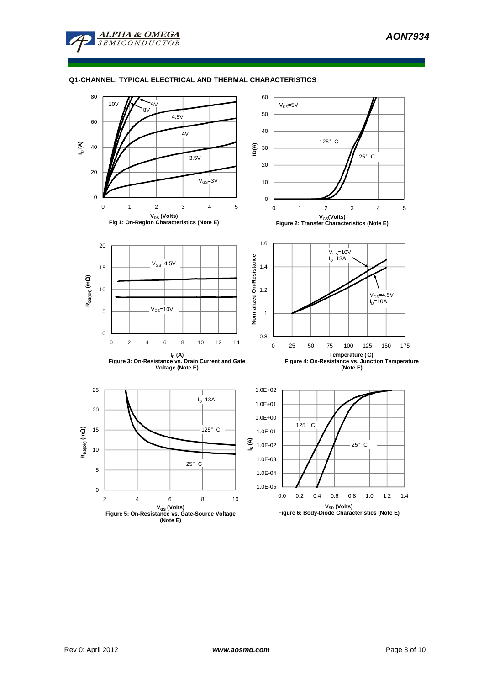

#### **Q1-CHANNEL: TYPICAL ELECTRICAL AND THERMAL CHARACTERISTICS**

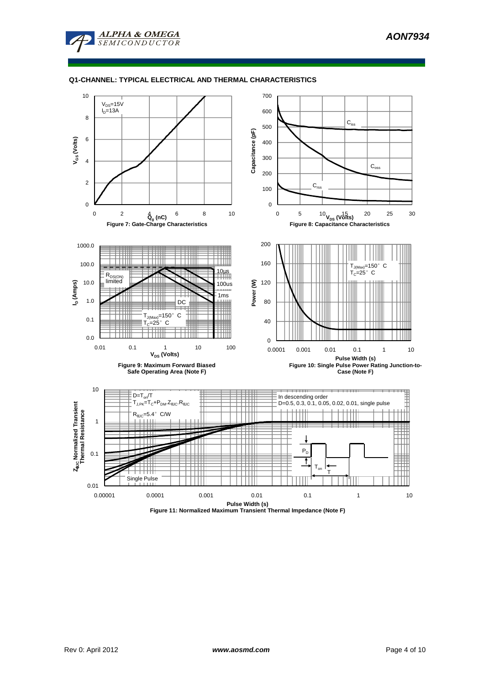

## **Q1-CHANNEL: TYPICAL ELECTRICAL AND THERMAL CHARACTERISTICS**



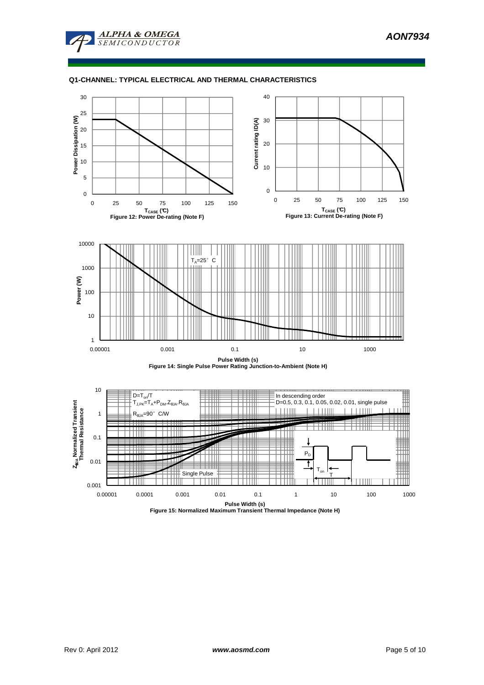

## **Q1-CHANNEL: TYPICAL ELECTRICAL AND THERMAL CHARACTERISTICS**



**Pulse Width (s) Figure 15: Normalized Maximum Transient Thermal Impedance (Note H)**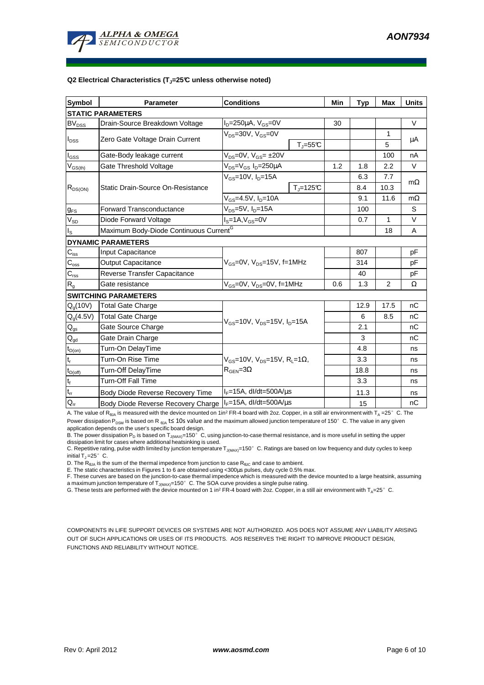

#### **Q2 Electrical Characteristics (TJ=25°C unless otherwise noted)**

| <b>Symbol</b>                           | <b>Parameter</b>                                   | <b>Conditions</b>                                                                        | Min                      | <b>Typ</b> | <b>Max</b>  | <b>Units</b> |           |  |
|-----------------------------------------|----------------------------------------------------|------------------------------------------------------------------------------------------|--------------------------|------------|-------------|--------------|-----------|--|
| <b>STATIC PARAMETERS</b>                |                                                    |                                                                                          |                          |            |             |              |           |  |
| <b>BV<sub>DSS</sub></b>                 | Drain-Source Breakdown Voltage                     | $I_D = 250 \mu A$ , $V_{GS} = 0V$                                                        |                          | 30         |             |              | $\vee$    |  |
| $I_{\text{DSS}}$                        | Zero Gate Voltage Drain Current                    | $V_{DS}$ =30V, $V_{GS}$ =0V                                                              |                          |            |             | 1            | μA        |  |
|                                         |                                                    |                                                                                          | $T_{\parallel} = 55$ °C  |            |             | 5            |           |  |
| $I_{GSS}$                               | Gate-Body leakage current                          | $V_{DS} = 0V$ , $V_{GS} = \pm 20V$                                                       |                          |            |             | 100          | nA        |  |
| $\mathsf{V}_{\mathsf{GS}(\mathsf{th})}$ | Gate Threshold Voltage                             | $V_{DS} = V_{GS} I_D = 250 \mu A$                                                        |                          | 1.2        | 1.8         | 2.2          | V         |  |
|                                         | Static Drain-Source On-Resistance                  | $V_{GS}$ =10V, $I_{D}$ =15A                                                              |                          |            | 6.3         | 7.7          |           |  |
| $R_{DS(ON)}$                            |                                                    |                                                                                          | $T_{\parallel} = 125$ °C |            | 8.4         | 10.3         | $m\Omega$ |  |
|                                         |                                                    | $V_{GS} = 4.5V, I_D = 10A$                                                               |                          |            | 9.1         | 11.6         | $m\Omega$ |  |
| <b>g</b> <sub>FS</sub>                  | <b>Forward Transconductance</b>                    | $V_{DS}$ =5V, I <sub>D</sub> =15A                                                        |                          | 100        |             | S            |           |  |
| $V_{SD}$                                | Diode Forward Voltage                              | $IS=1A, VGS=0V$                                                                          |                          | 0.7        | $\mathbf 1$ | $\vee$       |           |  |
| $I_{\rm S}$                             | Maximum Body-Diode Continuous Current <sup>G</sup> |                                                                                          |                          |            | 18          | A            |           |  |
| <b>DYNAMIC PARAMETERS</b>               |                                                    |                                                                                          |                          |            |             |              |           |  |
| $C_{\text{iss}}$                        | Input Capacitance                                  |                                                                                          |                          |            | 807         |              | pF        |  |
| $C_{\rm oss}$                           | <b>Output Capacitance</b>                          | $V_{GS}$ =0V, $V_{DS}$ =15V, f=1MHz                                                      |                          |            | 314         |              | pF        |  |
| $C_{\text{rss}}$                        | Reverse Transfer Capacitance                       |                                                                                          |                          |            | 40          |              | pF        |  |
| R <sub>g</sub>                          | Gate resistance                                    | $V_{GS}$ =0V, $V_{DS}$ =0V, f=1MHz                                                       | 0.6                      | 1.3        | 2           | Ω            |           |  |
|                                         | <b>SWITCHING PARAMETERS</b>                        |                                                                                          |                          |            |             |              |           |  |
| $Q_q(10V)$                              | <b>Total Gate Charge</b>                           | $V_{GS}$ =10V, $V_{DS}$ =15V, $I_{D}$ =15A                                               |                          |            | 12.9        | 17.5         | nC        |  |
| $Q_g(4.5V)$                             | <b>Total Gate Charge</b>                           |                                                                                          |                          |            | 6           | 8.5          | nC        |  |
| $Q_{gs}$                                | Gate Source Charge                                 |                                                                                          |                          |            | 2.1         |              | nC        |  |
| $\mathsf{Q}_{\text{gd}}$                | Gate Drain Charge                                  |                                                                                          |                          |            | 3           |              | nC        |  |
| $t_{D(on)}$                             | Turn-On DelayTime                                  |                                                                                          |                          |            | 4.8         |              | ns        |  |
| $t_r$                                   | Turn-On Rise Time                                  | $V_{GS}$ =10V, $V_{DS}$ =15V, R <sub>L</sub> =1 $\Omega$ ,<br>$R_{\text{GEN}} = 3\Omega$ |                          |            | 3.3         |              | ns        |  |
| $t_{D{\rm (off)}}$                      | Turn-Off DelayTime                                 |                                                                                          |                          |            | 18.8        |              | ns        |  |
| $\mathbf{t}_\text{f}$                   | <b>Turn-Off Fall Time</b>                          |                                                                                          |                          |            | 3.3         |              | ns        |  |
| $t_{rr}$                                | Body Diode Reverse Recovery Time                   | $I_F = 15A$ , dl/dt=500A/ $\mu$ s                                                        |                          |            | 11.3        |              | ns        |  |
| $Q_{rr}$                                | Body Diode Reverse Recovery Charge                 | $I_F = 15A$ , dl/dt=500A/us                                                              |                          |            | 15          |              | nC        |  |

A. The value of R<sub>BJA</sub> is measured with the device mounted on 1in<sup>2</sup> FR-4 board with 2oz. Copper, in a still air environment with T<sub>A</sub> =25°C. The Power dissipation P<sub>DSM</sub> is based on R  $_{\theta$ JA t≤ 10s value and the maximum allowed junction temperature of 150°C. The value in any given application depends on the user's specific board design.

B. The power dissipation  $P_D$  is based on  $T_{J(MAX)}$ =150°C, using junction-to-case thermal resistance, and is more useful in setting the upper dissipation limit for cases where additional heatsinking is used.

C. Repetitive rating, pulse width limited by junction temperature  $T_{J(MAX)}$ =150°C. Ratings are based on low frequency and duty cycles to keep initial  $T_J = 25^\circ$  C.

D. The  $R_{\theta JA}$  is the sum of the thermal impedence from junction to case  $R_{\theta JC}$  and case to ambient.

E. The static characteristics in Figures 1 to 6 are obtained using <300µs pulses, duty cycle 0.5% max.

F. These curves are based on the junction-to-case thermal impedence which is measured with the device mounted to a large heatsink, assuming a maximum junction temperature of  $T_{J(MAX)}$ =150°C. The SOA curve provides a single pulse rating.

G. These tests are performed with the device mounted on 1 in<sup>2</sup> FR-4 board with 2oz. Copper, in a still air environment with T<sub>A</sub>=25°C.

COMPONENTS IN LIFE SUPPORT DEVICES OR SYSTEMS ARE NOT AUTHORIZED. AOS DOES NOT ASSUME ANY LIABILITY ARISING OUT OF SUCH APPLICATIONS OR USES OF ITS PRODUCTS. AOS RESERVES THE RIGHT TO IMPROVE PRODUCT DESIGN, FUNCTIONS AND RELIABILITY WITHOUT NOTICE.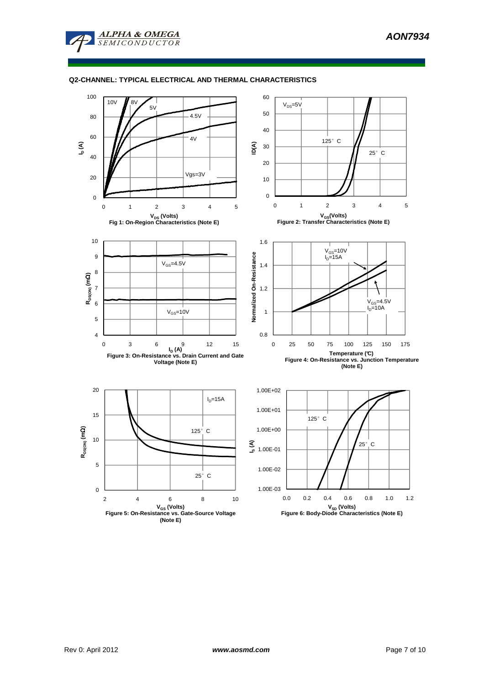

#### **Q2-CHANNEL: TYPICAL ELECTRICAL AND THERMAL CHARACTERISTICS**

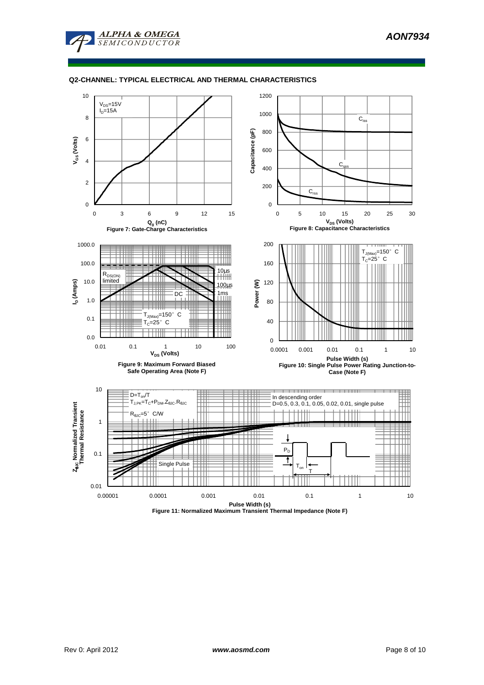

### **Q2-CHANNEL: TYPICAL ELECTRICAL AND THERMAL CHARACTERISTICS**



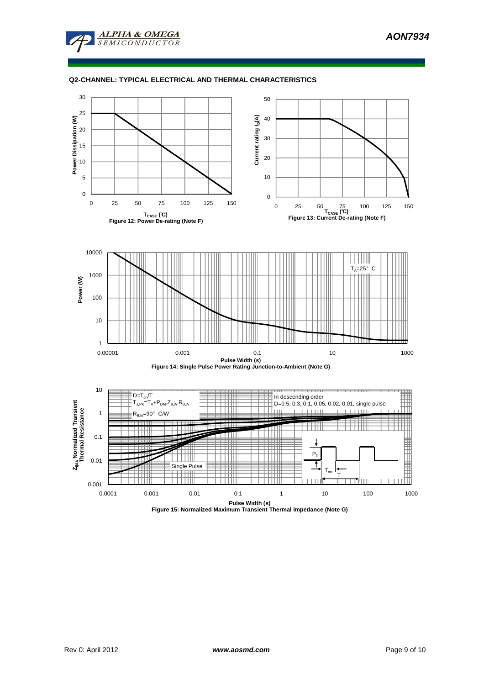



### **Q2-CHANNEL: TYPICAL ELECTRICAL AND THERMAL CHARACTERISTICS**



**Figure 15: Normalized Maximum Transient Thermal Impedance (Note G)**